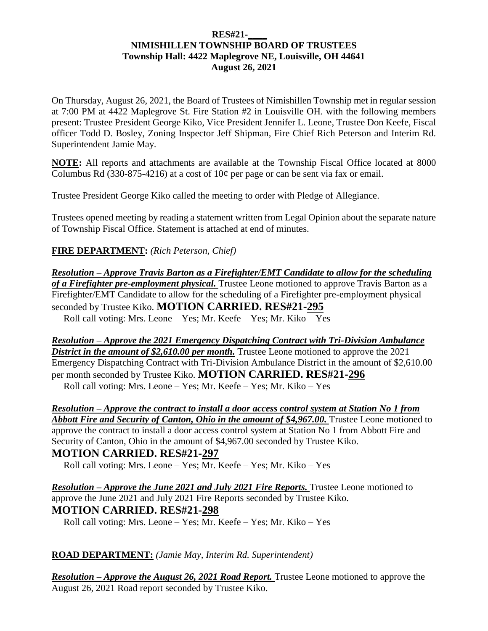#### **RES#21-\_\_\_\_ NIMISHILLEN TOWNSHIP BOARD OF TRUSTEES Township Hall: 4422 Maplegrove NE, Louisville, OH 44641 August 26, 2021**

On Thursday, August 26, 2021, the Board of Trustees of Nimishillen Township met in regular session at 7:00 PM at 4422 Maplegrove St. Fire Station #2 in Louisville OH. with the following members present: Trustee President George Kiko, Vice President Jennifer L. Leone, Trustee Don Keefe, Fiscal officer Todd D. Bosley, Zoning Inspector Jeff Shipman, Fire Chief Rich Peterson and Interim Rd. Superintendent Jamie May.

**NOTE:** All reports and attachments are available at the Township Fiscal Office located at 8000 Columbus Rd (330-875-4216) at a cost of  $10¢$  per page or can be sent via fax or email.

Trustee President George Kiko called the meeting to order with Pledge of Allegiance.

Trustees opened meeting by reading a statement written from Legal Opinion about the separate nature of Township Fiscal Office. Statement is attached at end of minutes.

**FIRE DEPARTMENT:** *(Rich Peterson, Chief)*

*Resolution – Approve Travis Barton as a Firefighter/EMT Candidate to allow for the scheduling of a Firefighter pre-employment physical.* Trustee Leone motioned to approve Travis Barton as a Firefighter/EMT Candidate to allow for the scheduling of a Firefighter pre-employment physical seconded by Trustee Kiko. **MOTION CARRIED. RES#21-295** Roll call voting: Mrs. Leone – Yes; Mr. Keefe – Yes; Mr. Kiko – Yes

*Resolution – Approve the 2021 Emergency Dispatching Contract with Tri-Division Ambulance District in the amount of \$2,610.00 per month.* Trustee Leone motioned to approve the 2021 Emergency Dispatching Contract with Tri-Division Ambulance District in the amount of \$2,610.00 per month seconded by Trustee Kiko. **MOTION CARRIED. RES#21-296** Roll call voting: Mrs. Leone – Yes; Mr. Keefe – Yes; Mr. Kiko – Yes

*Resolution – Approve the contract to install a door access control system at Station No 1 from*  **Abbott Fire and Security of Canton, Ohio in the amount of \$4,967.00.** Trustee Leone motioned to approve the contract to install a door access control system at Station No 1 from Abbott Fire and Security of Canton, Ohio in the amount of \$4,967.00 seconded by Trustee Kiko. **MOTION CARRIED. RES#21-297**

Roll call voting: Mrs. Leone – Yes; Mr. Keefe – Yes; Mr. Kiko – Yes

*Resolution – Approve the June 2021 and July 2021 Fire Reports.* Trustee Leone motioned to approve the June 2021 and July 2021 Fire Reports seconded by Trustee Kiko. **MOTION CARRIED. RES#21-298**

Roll call voting: Mrs. Leone – Yes; Mr. Keefe – Yes; Mr. Kiko – Yes

**ROAD DEPARTMENT:** *(Jamie May, Interim Rd. Superintendent)*

*Resolution – Approve the August 26, 2021 Road Report.* Trustee Leone motioned to approve the August 26, 2021 Road report seconded by Trustee Kiko.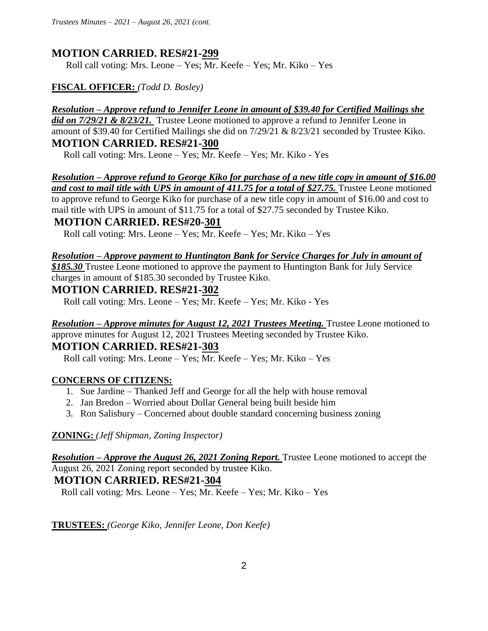## **MOTION CARRIED. RES#21-299**

Roll call voting: Mrs. Leone – Yes; Mr. Keefe – Yes; Mr. Kiko – Yes

## **FISCAL OFFICER:** *(Todd D. Bosley)*

## *Resolution – Approve refund to Jennifer Leone in amount of \$39.40 for Certified Mailings she*

*did on 7/29/21 & 8/23/21.* Trustee Leone motioned to approve a refund to Jennifer Leone in amount of \$39.40 for Certified Mailings she did on 7/29/21 & 8/23/21 seconded by Trustee Kiko. **MOTION CARRIED. RES#21-300**

Roll call voting: Mrs. Leone – Yes; Mr. Keefe – Yes; Mr. Kiko - Yes

*Resolution – Approve refund to George Kiko for purchase of a new title copy in amount of \$16.00 and cost to mail title with UPS in amount of 411.75 for a total of \$27.75.* Trustee Leone motioned

to approve refund to George Kiko for purchase of a new title copy in amount of \$16.00 and cost to mail title with UPS in amount of \$11.75 for a total of \$27.75 seconded by Trustee Kiko.

## **MOTION CARRIED. RES#20-301**

Roll call voting: Mrs. Leone – Yes; Mr. Keefe – Yes; Mr. Kiko – Yes

#### *Resolution – Approve payment to Huntington Bank for Service Charges for July in amount of*

*\$185.30* Trustee Leone motioned to approve the payment to Huntington Bank for July Service charges in amount of \$185.30 seconded by Trustee Kiko.

## **MOTION CARRIED. RES#21-302**

Roll call voting: Mrs. Leone – Yes; Mr. Keefe – Yes; Mr. Kiko - Yes

*Resolution – Approve minutes for August 12, 2021 Trustees Meeting.* Trustee Leone motioned to approve minutes for August 12, 2021 Trustees Meeting seconded by Trustee Kiko. **MOTION CARRIED. RES#21-303**

Roll call voting: Mrs. Leone – Yes; Mr. Keefe – Yes; Mr. Kiko – Yes

#### **CONCERNS OF CITIZENS:**

- 1. Sue Jardine Thanked Jeff and George for all the help with house removal
- 2. Jan Bredon Worried about Dollar General being built beside him
- 3. Ron Salisbury Concerned about double standard concerning business zoning

#### **ZONING:** *(Jeff Shipman, Zoning Inspector)*

*Resolution – Approve the August 26, 2021 Zoning Report.* Trustee Leone motioned to accept the August 26, 2021 Zoning report seconded by trustee Kiko.

## **MOTION CARRIED. RES#21-304**

Roll call voting: Mrs. Leone – Yes; Mr. Keefe – Yes; Mr. Kiko – Yes

#### **TRUSTEES:** *(George Kiko, Jennifer Leone, Don Keefe)*